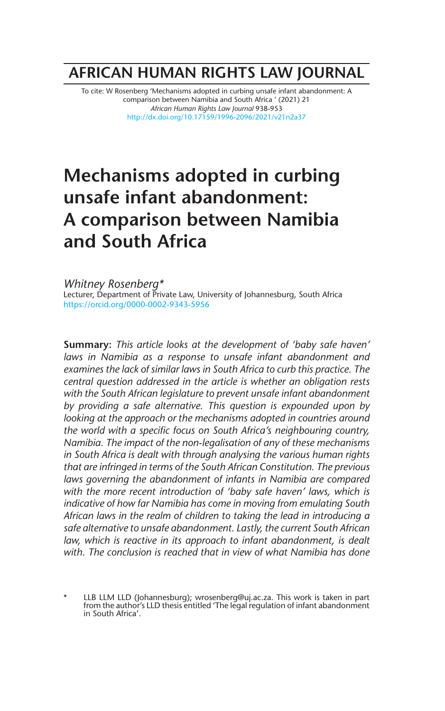## **AFRICAN HUMAN RIGHTS LAW JOURNAL**

To cite: W Rosenberg 'Mechanisms adopted in curbing unsafe infant abandonment: A comparison between Namibia and South Africa ' (2021) 21 *African Human Rights Law Journal* 938-953 http://dx.doi.org/10.17159/1996-2096/2021/v21n2a37

# **Mechanisms adopted in curbing unsafe infant abandonment: A comparison between Namibia and South Africa**

*Whitney Rosenberg\** Lecturer, Department of Private Law, University of Johannesburg, South Africa https://orcid.org/0000-0002-9343-5956

**Summary:** *This article looks at the development of 'baby safe haven' laws in Namibia as a response to unsafe infant abandonment and examines the lack of similar laws in South Africa to curb this practice. The central question addressed in the article is whether an obligation rests with the South African legislature to prevent unsafe infant abandonment by providing a safe alternative. This question is expounded upon by looking at the approach or the mechanisms adopted in countries around the world with a specific focus on South Africa's neighbouring country, Namibia. The impact of the non-legalisation of any of these mechanisms in South Africa is dealt with through analysing the various human rights that are infringed in terms of the South African Constitution. The previous laws governing the abandonment of infants in Namibia are compared with the more recent introduction of 'baby safe haven' laws, which is indicative of how far Namibia has come in moving from emulating South African laws in the realm of children to taking the lead in introducing a safe alternative to unsafe abandonment. Lastly, the current South African*  law, which is reactive in its approach to infant abandonment, is dealt *with. The conclusion is reached that in view of what Namibia has done*

\* LLB LLM LLD (Johannesburg); wrosenberg@uj.ac.za. This work is taken in part from the author's LLD thesis entitled 'The legal regulation of infant abandonment in South Africa'.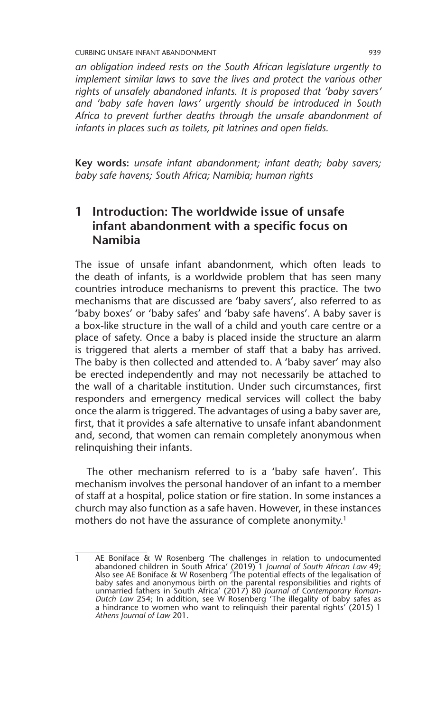*an obligation indeed rests on the South African legislature urgently to implement similar laws to save the lives and protect the various other rights of unsafely abandoned infants. It is proposed that 'baby savers' and 'baby safe haven laws' urgently should be introduced in South Africa to prevent further deaths through the unsafe abandonment of infants in places such as toilets, pit latrines and open fields.*

**Key words:** *unsafe infant abandonment; infant death; baby savers; baby safe havens; South Africa; Namibia; human rights*

### **1 Introduction: The worldwide issue of unsafe infant abandonment with a specific focus on Namibia**

The issue of unsafe infant abandonment, which often leads to the death of infants, is a worldwide problem that has seen many countries introduce mechanisms to prevent this practice. The two mechanisms that are discussed are 'baby savers', also referred to as 'baby boxes' or 'baby safes' and 'baby safe havens'. A baby saver is a box-like structure in the wall of a child and youth care centre or a place of safety. Once a baby is placed inside the structure an alarm is triggered that alerts a member of staff that a baby has arrived. The baby is then collected and attended to. A 'baby saver' may also be erected independently and may not necessarily be attached to the wall of a charitable institution. Under such circumstances, first responders and emergency medical services will collect the baby once the alarm is triggered. The advantages of using a baby saver are, first, that it provides a safe alternative to unsafe infant abandonment and, second, that women can remain completely anonymous when relinquishing their infants.

The other mechanism referred to is a 'baby safe haven'. This mechanism involves the personal handover of an infant to a member of staff at a hospital, police station or fire station. In some instances a church may also function as a safe haven. However, in these instances mothers do not have the assurance of complete anonymity.<sup>1</sup>

<sup>1</sup> AE Boniface & W Rosenberg 'The challenges in relation to undocumented abandoned children in South Africa' (2019) 1 *Journal of South African Law* 49; Also see AE Boniface & W Rosenberg 'The potential effects of the legalisation of<br>baby safes and anonymous birth on the parental responsibilities and rights of<br>unmarried fathers in South Africa' (2017) 80 *Journal of Contem Dutch Law* 254; In addition, see W Rosenberg 'The illegality of baby safes as a hindrance to women who want to relinquish their parental rights' (2015) 1 *Athens Journal of Law* 201.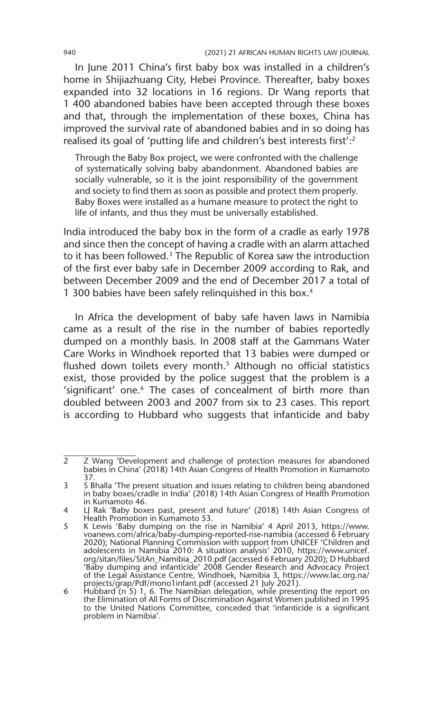In June 2011 China's first baby box was installed in a children's home in Shijiazhuang City, Hebei Province. Thereafter, baby boxes expanded into 32 locations in 16 regions. Dr Wang reports that 1 400 abandoned babies have been accepted through these boxes and that, through the implementation of these boxes, China has improved the survival rate of abandoned babies and in so doing has realised its goal of 'putting life and children's best interests first':2

Through the Baby Box project, we were confronted with the challenge of systematically solving baby abandonment. Abandoned babies are socially vulnerable, so it is the joint responsibility of the government and society to find them as soon as possible and protect them properly. Baby Boxes were installed as a humane measure to protect the right to life of infants, and thus they must be universally established.

India introduced the baby box in the form of a cradle as early 1978 and since then the concept of having a cradle with an alarm attached to it has been followed.<sup>3</sup> The Republic of Korea saw the introduction of the first ever baby safe in December 2009 according to Rak, and between December 2009 and the end of December 2017 a total of 1 300 babies have been safely relinquished in this box.4

In Africa the development of baby safe haven laws in Namibia came as a result of the rise in the number of babies reportedly dumped on a monthly basis. In 2008 staff at the Gammans Water Care Works in Windhoek reported that 13 babies were dumped or flushed down toilets every month.<sup>5</sup> Although no official statistics exist, those provided by the police suggest that the problem is a 'significant' one.6 The cases of concealment of birth more than doubled between 2003 and 2007 from six to 23 cases. This report is according to Hubbard who suggests that infanticide and baby

<sup>2</sup> Z Wang 'Development and challenge of protection measures for abandoned babies in China' (2018) 14th Asian Congress of Health Promotion in Kumamoto 37.

<sup>3</sup> S Bhalla 'The present situation and issues relating to children being abandoned in baby boxes/cradle in India' (2018) 14th Asian Congress of Health Promotion in Kumamoto 46.

<sup>4</sup> LJ Rak 'Baby boxes past, present and future' (2018) 14th Asian Congress of Health Promotion in Kumamoto 53.

<sup>5</sup> K Lewis 'Baby dumping on the rise in Namibia' 4 April 2013, https://www. voanews.com/africa/baby-dumping-reported-rise-namibia (accessed 6 February 2020); National Planning Commission with support from UNICEF 'Children and adolescents in Namibia 2010: A situation analysis' 2010, https://www.unicef. org/sitan/files/SitAn\_Namibia\_2010.pdf (accessed 6 February 2020); D Hubbard 'Baby dumping and infanticide' 2008 Gender Research and Advocacy Project of the Legal Assistance Centre, Windhoek, Namibia 3, https://www.lac.org.na/ projects/grap/Pdf/mono1infant.pdf (accessed 21 July 2021). 6 Hubbard (n 5) 1, 6. The Namibian delegation, while presenting the report on

the Elimination of All Forms of Discrimination Against Women published in 1995 to the United Nations Committee, conceded that 'infanticide is a significant problem in Namibia'.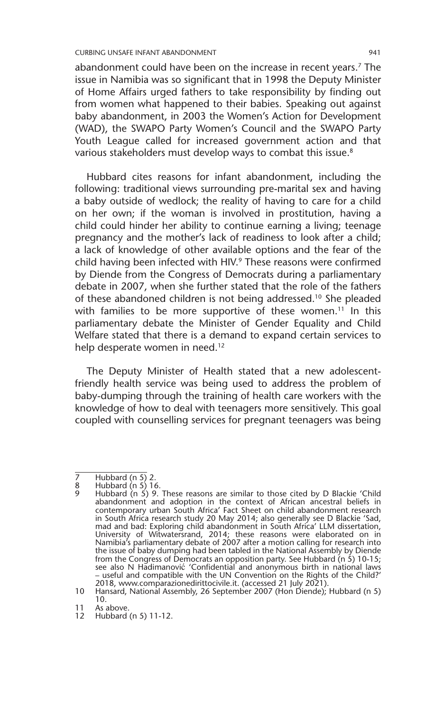abandonment could have been on the increase in recent years.<sup>7</sup> The issue in Namibia was so significant that in 1998 the Deputy Minister of Home Affairs urged fathers to take responsibility by finding out from women what happened to their babies. Speaking out against baby abandonment, in 2003 the Women's Action for Development (WAD), the SWAPO Party Women's Council and the SWAPO Party Youth League called for increased government action and that various stakeholders must develop ways to combat this issue.<sup>8</sup>

Hubbard cites reasons for infant abandonment, including the following: traditional views surrounding pre-marital sex and having a baby outside of wedlock; the reality of having to care for a child on her own; if the woman is involved in prostitution, having a child could hinder her ability to continue earning a living; teenage pregnancy and the mother's lack of readiness to look after a child; a lack of knowledge of other available options and the fear of the child having been infected with HIV.<sup>9</sup> These reasons were confirmed by Diende from the Congress of Democrats during a parliamentary debate in 2007, when she further stated that the role of the fathers of these abandoned children is not being addressed.10 She pleaded with families to be more supportive of these women.<sup>11</sup> In this parliamentary debate the Minister of Gender Equality and Child Welfare stated that there is a demand to expand certain services to help desperate women in need.<sup>12</sup>

The Deputy Minister of Health stated that a new adolescentfriendly health service was being used to address the problem of baby-dumping through the training of health care workers with the knowledge of how to deal with teenagers more sensitively. This goal coupled with counselling services for pregnant teenagers was being

<sup>7</sup> Hubbard (n 5) 2.<br>8 Hubbard (n 5) 1

Hubbard  $(n 5)$  16.

Hubbard (n 5) 9. These reasons are similar to those cited by D Blackie 'Child abandonment and adoption in the context of African ancestral beliefs in contemporary urban South Africa' Fact Sheet on child abandonment research in South Africa research study 20 May 2014; also generally see D Blackie 'Sad, mad and bad: Exploring child abandonment in South Africa' LLM dissertation, University of Witwatersrand, 2014; these reasons were elaborated on in Namibia's parliamentary debate of 2007 after a motion calling for research into the issue of baby dumping had been tabled in the National Assembly by Diende from the Congress of Democrats an opposition party. See Hubbard (n 5) 10-15;<br>see also N Hadimanović 'Confidential and anonymous birth in national laws<br>– useful and compatible with the UN Convention on the Rights of the Chi

<sup>10</sup> Hansard, National Assembly, 26 September 2007 (Hon Diende); Hubbard (n 5) 10.

<sup>11</sup> As above.

<sup>12</sup> Hubbard (n 5) 11-12.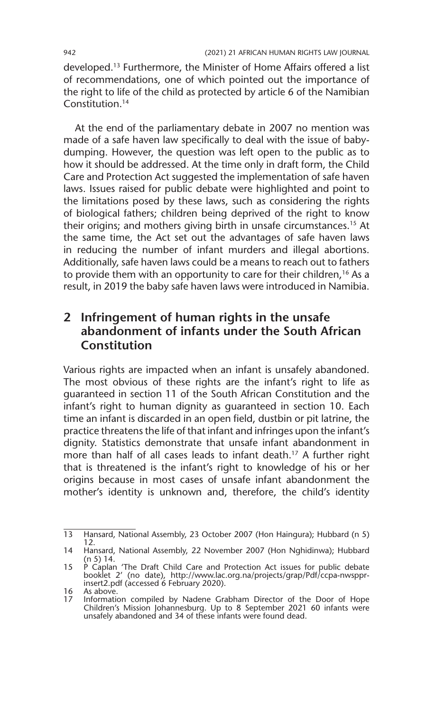developed.13 Furthermore, the Minister of Home Affairs offered a list of recommendations, one of which pointed out the importance of the right to life of the child as protected by article 6 of the Namibian Constitution.14

At the end of the parliamentary debate in 2007 no mention was made of a safe haven law specifically to deal with the issue of babydumping. However, the question was left open to the public as to how it should be addressed. At the time only in draft form, the Child Care and Protection Act suggested the implementation of safe haven laws. Issues raised for public debate were highlighted and point to the limitations posed by these laws, such as considering the rights of biological fathers; children being deprived of the right to know their origins; and mothers giving birth in unsafe circumstances.15 At the same time, the Act set out the advantages of safe haven laws in reducing the number of infant murders and illegal abortions. Additionally, safe haven laws could be a means to reach out to fathers to provide them with an opportunity to care for their children,<sup>16</sup> As a result, in 2019 the baby safe haven laws were introduced in Namibia.

### **2 Infringement of human rights in the unsafe abandonment of infants under the South African Constitution**

Various rights are impacted when an infant is unsafely abandoned. The most obvious of these rights are the infant's right to life as guaranteed in section 11 of the South African Constitution and the infant's right to human dignity as guaranteed in section 10. Each time an infant is discarded in an open field, dustbin or pit latrine, the practice threatens the life of that infant and infringes upon the infant's dignity. Statistics demonstrate that unsafe infant abandonment in more than half of all cases leads to infant death.<sup>17</sup> A further right that is threatened is the infant's right to knowledge of his or her origins because in most cases of unsafe infant abandonment the mother's identity is unknown and, therefore, the child's identity

<sup>13</sup> Hansard, National Assembly, 23 October 2007 (Hon Haingura); Hubbard (n 5) 12.

<sup>14</sup> Hansard, National Assembly, 22 November 2007 (Hon Nghidinwa); Hubbard (n 5) 14.

<sup>15</sup> P Caplan 'The Draft Child Care and Protection Act issues for public debate booklet 2' (no date), http://www.lac.org.na/projects/grap/Pdf/ccpa-nwsppr-insert2.pdf (accessed 6 February 2020).

<sup>16</sup> As above.<br>17 Information

<sup>17</sup> Information compiled by Nadene Grabham Director of the Door of Hope Children's Mission Johannesburg. Up to 8 September 2021 60 infants were unsafely abandoned and 34 of these infants were found dead.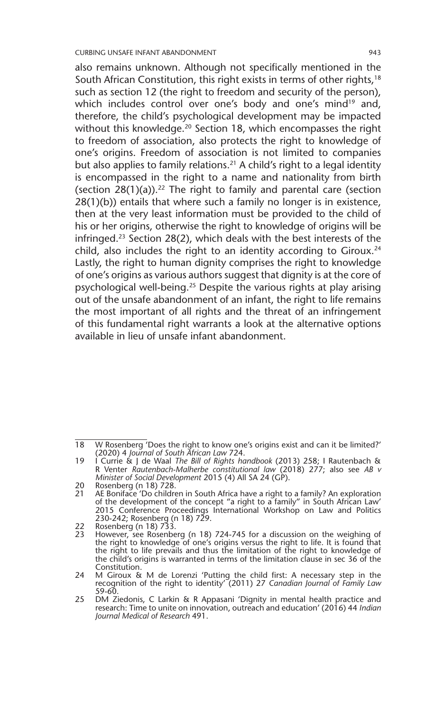also remains unknown. Although not specifically mentioned in the South African Constitution, this right exists in terms of other rights,<sup>18</sup> such as section 12 (the right to freedom and security of the person), which includes control over one's body and one's mind<sup>19</sup> and, therefore, the child's psychological development may be impacted without this knowledge.<sup>20</sup> Section 18, which encompasses the right to freedom of association, also protects the right to knowledge of one's origins. Freedom of association is not limited to companies but also applies to family relations.<sup>21</sup> A child's right to a legal identity is encompassed in the right to a name and nationality from birth (section  $28(1)(a)$ ).<sup>22</sup> The right to family and parental care (section 28(1)(b)) entails that where such a family no longer is in existence, then at the very least information must be provided to the child of his or her origins, otherwise the right to knowledge of origins will be infringed.23 Section 28(2), which deals with the best interests of the child, also includes the right to an identity according to Giroux.<sup>24</sup> Lastly, the right to human dignity comprises the right to knowledge of one's origins as various authors suggest that dignity is at the core of psychological well-being.25 Despite the various rights at play arising out of the unsafe abandonment of an infant, the right to life remains the most important of all rights and the threat of an infringement of this fundamental right warrants a look at the alternative options available in lieu of unsafe infant abandonment.

<sup>18</sup> W Rosenberg 'Does the right to know one's origins exist and can it be limited?' (2020) 4 *Journal of South African Law* 724.

<sup>19</sup> I Currie & J de Waal *The Bill of Rights handbook* (2013) 258; I Rautenbach & R Venter *Rautenbach-Malherbe constitutional law* (2018) 277; also see *AB v Minister of Social Development* 2015 (4) All SA 24 (GP).

<sup>20</sup> Rosenberg (n 18) 728.<br>21 AF Boniface 'Do childre

<sup>21</sup> AE Boniface 'Do children in South Africa have a right to a family? An exploration of the development of the concept "a right to a family" in South African Law' 2015 Conference Proceedings International Workshop on Law and Politics 230-242; Rosenberg (n 18) 729.

<sup>22</sup> Rosenberg (n 18) 733.<br>23 However see Rosenbe

However, see Rosenberg (n 18) 724-745 for a discussion on the weighing of the right to knowledge of one's origins versus the right to life. It is found that the right to life prevails and thus the limitation of the right to knowledge of the child's origins is warranted in terms of the limitation clause in sec 36 of the Constitution.

<sup>24</sup> M Giroux & M de Lorenzi 'Putting the child first: A necessary step in the recognition of the right to identity' (2011) 27 *Canadian Journal of Family Law* 59-60.

<sup>25</sup> DM Ziedonis, C Larkin & R Appasani 'Dignity in mental health practice and research: Time to unite on innovation, outreach and education' (2016) 44 *Indian Journal Medical of Research* 491.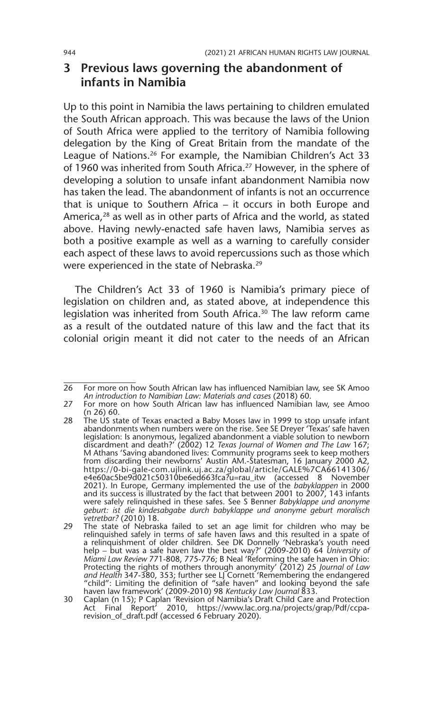#### **3 Previous laws governing the abandonment of infants in Namibia**

Up to this point in Namibia the laws pertaining to children emulated the South African approach. This was because the laws of the Union of South Africa were applied to the territory of Namibia following delegation by the King of Great Britain from the mandate of the League of Nations.26 For example, the Namibian Children's Act 33 of 1960 was inherited from South Africa.<sup>27</sup> However, in the sphere of developing a solution to unsafe infant abandonment Namibia now has taken the lead. The abandonment of infants is not an occurrence that is unique to Southern Africa – it occurs in both Europe and America,28 as well as in other parts of Africa and the world, as stated above. Having newly-enacted safe haven laws, Namibia serves as both a positive example as well as a warning to carefully consider each aspect of these laws to avoid repercussions such as those which were experienced in the state of Nebraska.29

The Children's Act 33 of 1960 is Namibia's primary piece of legislation on children and, as stated above, at independence this legislation was inherited from South Africa.<sup>30</sup> The law reform came as a result of the outdated nature of this law and the fact that its colonial origin meant it did not cater to the needs of an African

<sup>26</sup> For more on how South African law has influenced Namibian law, see SK Amoo *An introduction to Namibian Law: Materials and cases* (2018) 60.

<sup>27</sup> For more on how South African law has influenced Namibian law, see Amoo (n 26) 60.

<sup>28</sup> The US state of Texas enacted a Baby Moses law in 1999 to stop unsafe infant abandonments when numbers were on the rise. See SE Dreyer 'Texas' safe haven legislation: Is anonymous, legalized abandonment a viable solution to newborn discardment and death?' (2002) 12 *Texas Journal of Women and The Law* 167; M Athans 'Saving abandoned lives: Community programs seek to keep mothers from discarding their newborns' Austin AM.-Statesman, 16 January 2000 A2, https://0-bi-gale-com.ujlink.uj.ac.za/global/article/GALE%7CA66141306/ e4e60ac5be9d021c50310be6ed663fca?u=rau\_itw (accessed 8 November 2021). In Europe, Germany implemented the use of the *babyklappen* in 2000 and its success is illustrated by the fact that between 2001 to 2007, 143 infants were safely relinquished in these safes. See S Benner *Babyklappe und anonyme geburt: ist die kindesabgabe durch babyklappe und anonyme geburt moralisch vetretbar?* (2010) 18.

<sup>29</sup> The state of Nebraska failed to set an age limit for children who may be relinquished safely in terms of safe haven laws and this resulted in a spate of a relinquishment of older children. See DK Donnelly 'Nebraska's youth need help – but was a safe haven law the best way?' (2009-2010) 64 *University of Miami Law Review* 771-808, 775-776; B Neal 'Reforming the safe haven in Ohio: Protecting the rights of mothers through anonymity' (2012) 25 *Journal of Law and Health* 347-380, 353; further see LJ Cornett 'Remembering the endangered<br>"child": Limiting the definition of "safe haven" and looking beyond the safe<br>haven law framework' (2009-2010) 98 *Kentucky Law Journal* 833.

<sup>30</sup> Caplan (n 15); P Caplan 'Revision of Namibia's Draft Child Care and Protection Act Final Report' 2010, https://www.lac.org.na/projects/grap/Pdf/ccparevision\_of\_draft.pdf (accessed 6 February 2020).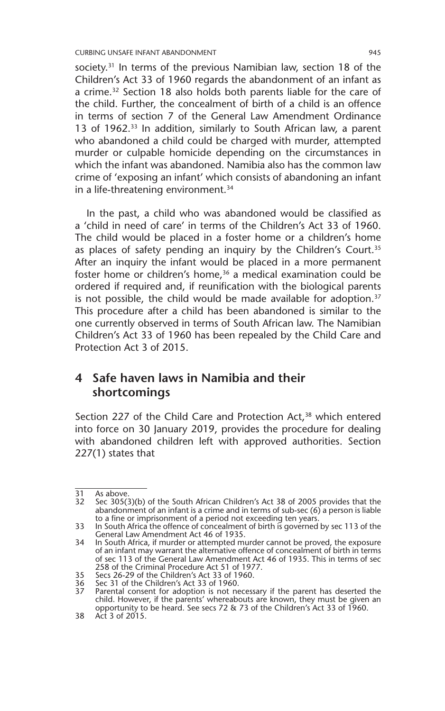society.<sup>31</sup> In terms of the previous Namibian law, section 18 of the Children's Act 33 of 1960 regards the abandonment of an infant as a crime.<sup>32</sup> Section 18 also holds both parents liable for the care of the child. Further, the concealment of birth of a child is an offence in terms of section 7 of the General Law Amendment Ordinance 13 of 1962.<sup>33</sup> In addition, similarly to South African law, a parent who abandoned a child could be charged with murder, attempted murder or culpable homicide depending on the circumstances in which the infant was abandoned. Namibia also has the common law crime of 'exposing an infant' which consists of abandoning an infant in a life-threatening environment.<sup>34</sup>

In the past, a child who was abandoned would be classified as a 'child in need of care' in terms of the Children's Act 33 of 1960. The child would be placed in a foster home or a children's home as places of safety pending an inquiry by the Children's Court.<sup>35</sup> After an inquiry the infant would be placed in a more permanent foster home or children's home,<sup>36</sup> a medical examination could be ordered if required and, if reunification with the biological parents is not possible, the child would be made available for adoption.<sup>37</sup> This procedure after a child has been abandoned is similar to the one currently observed in terms of South African law. The Namibian Children's Act 33 of 1960 has been repealed by the Child Care and Protection Act 3 of 2015.

#### **4 Safe haven laws in Namibia and their shortcomings**

Section 227 of the Child Care and Protection Act,<sup>38</sup> which entered into force on 30 January 2019, provides the procedure for dealing with abandoned children left with approved authorities. Section 227(1) states that

<sup>31</sup> As above.<br>32 Sec 3050

Sec 305(3)(b) of the South African Children's Act 38 of 2005 provides that the abandonment of an infant is a crime and in terms of sub-sec (6) a person is liable to a fine or imprisonment of a period not exceeding ten years.

<sup>33</sup> In South Africa the offence of concealment of birth is governed by sec 113 of the General Law Amendment Act 46 of 1935.

<sup>34</sup> In South Africa, if murder or attempted murder cannot be proved, the exposure of an infant may warrant the alternative offence of concealment of birth in terms of sec 113 of the General Law Amendment Act 46 of 1935. This in terms of sec 258 of the Criminal Procedure Act 51 of 1977.

<sup>35</sup> Secs 26-29 of the Children's Act 33 of 1960.

Sec 31 of the Children's Act 33 of 1960.

<sup>37</sup> Parental consent for adoption is not necessary if the parent has deserted the child. However, if the parents' whereabouts are known, they must be given an opportunity to be heard. See secs 72 & 73 of the Children's Act 33 of 1960.

<sup>38</sup> Act 3 of 2015.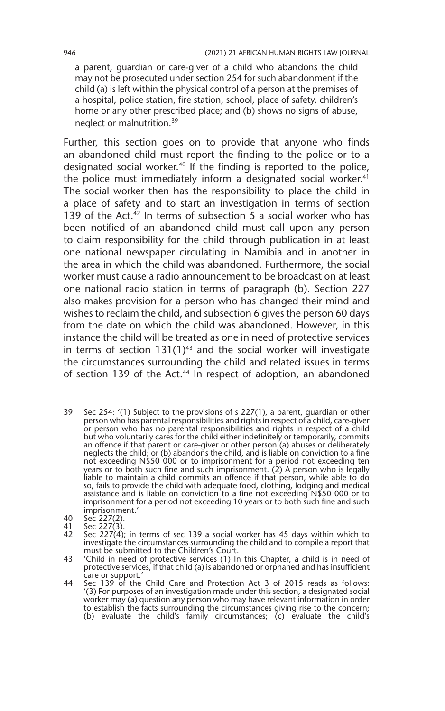a parent, guardian or care-giver of a child who abandons the child may not be prosecuted under section 254 for such abandonment if the child (a) is left within the physical control of a person at the premises of a hospital, police station, fire station, school, place of safety, children's home or any other prescribed place; and (b) shows no signs of abuse, neglect or malnutrition.39

Further, this section goes on to provide that anyone who finds an abandoned child must report the finding to the police or to a designated social worker.<sup>40</sup> If the finding is reported to the police, the police must immediately inform a designated social worker.<sup>41</sup> The social worker then has the responsibility to place the child in a place of safety and to start an investigation in terms of section 139 of the Act.<sup>42</sup> In terms of subsection 5 a social worker who has been notified of an abandoned child must call upon any person to claim responsibility for the child through publication in at least one national newspaper circulating in Namibia and in another in the area in which the child was abandoned. Furthermore, the social worker must cause a radio announcement to be broadcast on at least one national radio station in terms of paragraph (b). Section 227 also makes provision for a person who has changed their mind and wishes to reclaim the child, and subsection 6 gives the person 60 days from the date on which the child was abandoned. However, in this instance the child will be treated as one in need of protective services in terms of section  $131(1)^{43}$  and the social worker will investigate the circumstances surrounding the child and related issues in terms of section 139 of the Act.<sup>44</sup> In respect of adoption, an abandoned

- 40 Sec 227(2).<br>41 Sec 227(3).
- 41 Sec 227(3).

<sup>39</sup> Sec 254: '(1) Subject to the provisions of s 227(1), a parent, guardian or other person who has parental responsibilities and rights in respect of a child, care-giver or person who has no parental responsibilities and rights in respect of a child but who voluntarily cares for the child either indefinitely or temporarily, commits an offence if that parent or care-giver or other person (a) abuses or deliberately neglects the child; or (b) abandons the child, and is liable on conviction to a fine not exceeding N\$50 000 or to imprisonment for a period not exceeding ten years or to both such fine and such imprisonment. (2) A person who is legally liable to maintain a child commits an offence if that person, while able to do so, fails to provide the child with adequate food, clothing, lodging and medical assistance and is liable on conviction to a fine not exceeding N\$50 000 or to imprisonment for a period not exceeding 10 years or to both such fine and such imprisonment.'

<sup>42</sup> Sec 227(4); in terms of sec 139 a social worker has 45 days within which to investigate the circumstances surrounding the child and to compile a report that must be submitted to the Children's Court.

<sup>43</sup> 'Child in need of protective services (1) In this Chapter, a child is in need of protective services, if that child (a) is abandoned or orphaned and has insufficient

care or support.' 44 Sec 139 of the Child Care and Protection Act 3 of 2015 reads as follows: '(3) For purposes of an investigation made under this section, a designated social worker may (a) question any person who may have relevant information in order to establish the facts surrounding the circumstances giving rise to the concern; (b) evaluate the child's family circumstances;  $\overline{c}$  evaluate the child's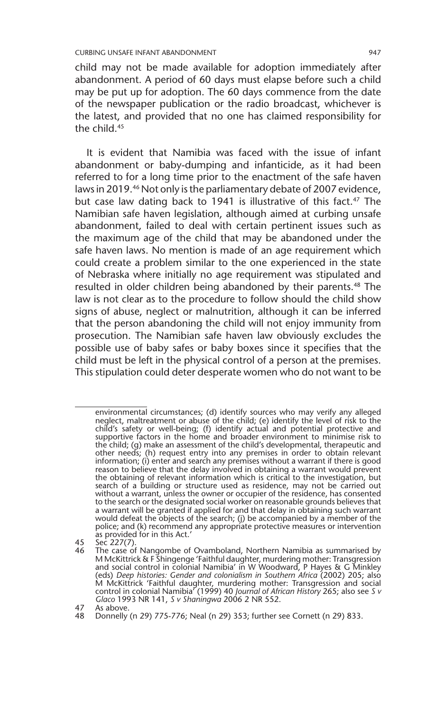child may not be made available for adoption immediately after abandonment. A period of 60 days must elapse before such a child may be put up for adoption. The 60 days commence from the date of the newspaper publication or the radio broadcast, whichever is the latest, and provided that no one has claimed responsibility for the child.45

It is evident that Namibia was faced with the issue of infant abandonment or baby-dumping and infanticide, as it had been referred to for a long time prior to the enactment of the safe haven laws in 2019.<sup>46</sup> Not only is the parliamentary debate of 2007 evidence, but case law dating back to 1941 is illustrative of this fact.<sup>47</sup> The Namibian safe haven legislation, although aimed at curbing unsafe abandonment, failed to deal with certain pertinent issues such as the maximum age of the child that may be abandoned under the safe haven laws. No mention is made of an age requirement which could create a problem similar to the one experienced in the state of Nebraska where initially no age requirement was stipulated and resulted in older children being abandoned by their parents.<sup>48</sup> The law is not clear as to the procedure to follow should the child show signs of abuse, neglect or malnutrition, although it can be inferred that the person abandoning the child will not enjoy immunity from prosecution. The Namibian safe haven law obviously excludes the possible use of baby safes or baby boxes since it specifies that the child must be left in the physical control of a person at the premises. This stipulation could deter desperate women who do not want to be

45 Sec 227(7).<br>46 The case of

environmental circumstances; (d) identify sources who may verify any alleged neglect, maltreatment or abuse of the child; (e) identify the level of risk to the child's safety or well-being; (f) identify actual and potential protective and supportive factors in the home and broader environment to minimise risk to the child; (g) make an assessment of the child's developmental, therapeutic and other needs; (h) request entry into any premises in order to obtain relevant information; (i) enter and search any premises without a warrant if there is good reason to believe that the delay involved in obtaining a warrant would prevent the obtaining of relevant information which is critical to the investigation, but search of a building or structure used as residence, may not be carried out without a warrant, unless the owner or occupier of the residence, has consented to the search or the designated social worker on reasonable grounds believes that a warrant will be granted if applied for and that delay in obtaining such warrant would defeat the objects of the search; (j) be accompanied by a member of the police; and (k) recommend any appropriate protective measures or intervention as provided for in this Act.'

<sup>46</sup> The case of Nangombe of Ovamboland, Northern Namibia as summarised by M McKittrick & F Shingenge 'Faithful daughter, murdering mother: Transgression and social control in colonial Namibia' in W Woodward, P Hayes & G Minkley (eds) *Deep histories: Gender and colonialism in Southern Africa* (2002) 205; also<br>M McKittrick 'Faithful daughter, murdering mother: Transgression and social<br>control in colonial Namibia' (1999) 40 *Journal of African Hist Glaco* 1993 NR 141, *S v Shaningwa* 2006 2 NR 552.

<sup>47</sup> As above.

<sup>48</sup> Donnelly (n 29) 775-776; Neal (n 29) 353; further see Cornett (n 29) 833.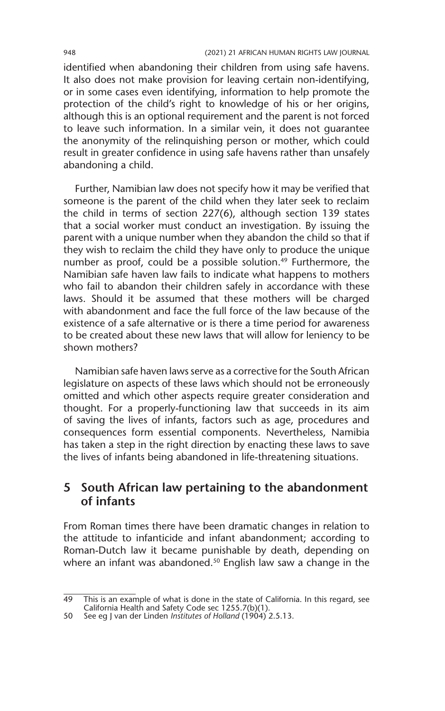identified when abandoning their children from using safe havens. It also does not make provision for leaving certain non-identifying, or in some cases even identifying, information to help promote the protection of the child's right to knowledge of his or her origins, although this is an optional requirement and the parent is not forced to leave such information. In a similar vein, it does not guarantee the anonymity of the relinquishing person or mother, which could result in greater confidence in using safe havens rather than unsafely abandoning a child.

Further, Namibian law does not specify how it may be verified that someone is the parent of the child when they later seek to reclaim the child in terms of section 227(6), although section 139 states that a social worker must conduct an investigation. By issuing the parent with a unique number when they abandon the child so that if they wish to reclaim the child they have only to produce the unique number as proof, could be a possible solution.<sup>49</sup> Furthermore, the Namibian safe haven law fails to indicate what happens to mothers who fail to abandon their children safely in accordance with these laws. Should it be assumed that these mothers will be charged with abandonment and face the full force of the law because of the existence of a safe alternative or is there a time period for awareness to be created about these new laws that will allow for leniency to be shown mothers?

Namibian safe haven laws serve as a corrective for the South African legislature on aspects of these laws which should not be erroneously omitted and which other aspects require greater consideration and thought. For a properly-functioning law that succeeds in its aim of saving the lives of infants, factors such as age, procedures and consequences form essential components. Nevertheless, Namibia has taken a step in the right direction by enacting these laws to save the lives of infants being abandoned in life-threatening situations.

#### **5 South African law pertaining to the abandonment of infants**

From Roman times there have been dramatic changes in relation to the attitude to infanticide and infant abandonment; according to Roman-Dutch law it became punishable by death, depending on where an infant was abandoned.<sup>50</sup> English law saw a change in the

<sup>49</sup> This is an example of what is done in the state of California. In this regard, see California Health and Safety Code sec 1255.7(b)(1).

<sup>50</sup> See eg J van der Linden *Institutes of Holland* (1904) 2.5.13.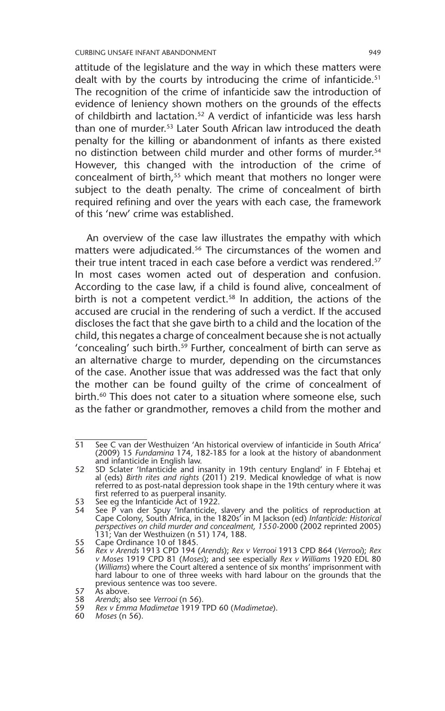attitude of the legislature and the way in which these matters were dealt with by the courts by introducing the crime of infanticide.<sup>51</sup> The recognition of the crime of infanticide saw the introduction of evidence of leniency shown mothers on the grounds of the effects of childbirth and lactation.52 A verdict of infanticide was less harsh than one of murder.53 Later South African law introduced the death penalty for the killing or abandonment of infants as there existed no distinction between child murder and other forms of murder.<sup>54</sup> However, this changed with the introduction of the crime of concealment of birth,<sup>55</sup> which meant that mothers no longer were subject to the death penalty. The crime of concealment of birth required refining and over the years with each case, the framework of this 'new' crime was established.

An overview of the case law illustrates the empathy with which matters were adjudicated.<sup>56</sup> The circumstances of the women and their true intent traced in each case before a verdict was rendered.<sup>57</sup> In most cases women acted out of desperation and confusion. According to the case law, if a child is found alive, concealment of birth is not a competent verdict. $58$  In addition, the actions of the accused are crucial in the rendering of such a verdict. If the accused discloses the fact that she gave birth to a child and the location of the child, this negates a charge of concealment because she is not actually 'concealing' such birth.<sup>59</sup> Further, concealment of birth can serve as an alternative charge to murder, depending on the circumstances of the case. Another issue that was addressed was the fact that only the mother can be found guilty of the crime of concealment of birth.<sup>60</sup> This does not cater to a situation where someone else, such as the father or grandmother, removes a child from the mother and

<sup>51</sup> See C van der Westhuizen 'An historical overview of infanticide in South Africa' (2009) 15 *Fundamina* 174, 182-185 for a look at the history of abandonment and infanticide in English law.

<sup>52</sup> SD Sclater 'Infanticide and insanity in 19th century England' in F Ebtehaj et al (eds) *Birth rites and rights* (2011) 219. Medical knowledge of what is now referred to as post-natal depression took shape in the 19th century where it was first referred to as puerperal insanity.

<sup>53</sup> See eg the Infanticide Act of 1922.

<sup>54</sup> See P van der Spuy 'Infanticide, slavery and the politics of reproduction at Cape Colony, South Africa, in the 1820s' in M Jackson (ed) *Infanticide: Historical perspectives on child murder and concealment, 1550-*2000 (2002 reprinted 2005) 131; Van der Westhuizen (n 51) 174, 188.

<sup>55</sup> Cape Ordinance 10 of 1845.<br>56 Rex v Arends 1913 CPD 194

<sup>56</sup> *Rex v Arends* 1913 CPD 194 (*Arends*); *Rex v Verrooi* 1913 CPD 864 (*Verrooi*); *Rex v Moses* 1919 CPD 81 (*Moses*); and see especially *Rex v Williams* 1920 EDL 80 (*Williams*) where the Court altered a sentence of six months' imprisonment with hard labour to one of three weeks with hard labour on the grounds that the previous sentence was too severe.

<sup>57</sup> As above.

<sup>58</sup> *Arends*; also see *Verrooi* (n 56)*.*

<sup>59</sup> *Rex v Emma Madimetae* 1919 TPD 60 (*Madimetae*).

<sup>60</sup> *Moses* (n 56).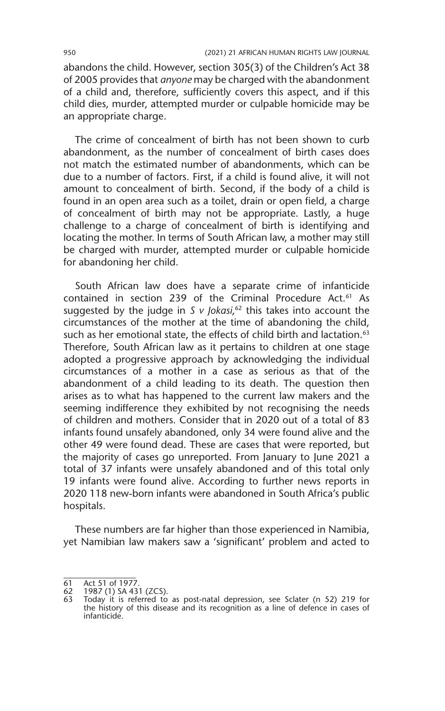abandons the child. However, section 305(3) of the Children's Act 38 of 2005 provides that *anyone* may be charged with the abandonment of a child and, therefore, sufficiently covers this aspect, and if this child dies, murder, attempted murder or culpable homicide may be an appropriate charge.

The crime of concealment of birth has not been shown to curb abandonment, as the number of concealment of birth cases does not match the estimated number of abandonments, which can be due to a number of factors. First, if a child is found alive, it will not amount to concealment of birth. Second, if the body of a child is found in an open area such as a toilet, drain or open field, a charge of concealment of birth may not be appropriate. Lastly, a huge challenge to a charge of concealment of birth is identifying and locating the mother. In terms of South African law, a mother may still be charged with murder, attempted murder or culpable homicide for abandoning her child.

South African law does have a separate crime of infanticide contained in section 239 of the Criminal Procedure Act.<sup>61</sup> As suggested by the judge in *S v Jokasi*, 62 this takes into account the circumstances of the mother at the time of abandoning the child, such as her emotional state, the effects of child birth and lactation.<sup>63</sup> Therefore, South African law as it pertains to children at one stage adopted a progressive approach by acknowledging the individual circumstances of a mother in a case as serious as that of the abandonment of a child leading to its death. The question then arises as to what has happened to the current law makers and the seeming indifference they exhibited by not recognising the needs of children and mothers. Consider that in 2020 out of a total of 83 infants found unsafely abandoned, only 34 were found alive and the other 49 were found dead. These are cases that were reported, but the majority of cases go unreported. From January to June 2021 a total of 37 infants were unsafely abandoned and of this total only 19 infants were found alive. According to further news reports in 2020 118 new-born infants were abandoned in South Africa's public hospitals.

These numbers are far higher than those experienced in Namibia, yet Namibian law makers saw a 'significant' problem and acted to

<sup>61</sup> Act 51 of 1977.

<sup>62</sup> 1987 (1) SA 431 (ZCS).

<sup>63</sup> Today it is referred to as post-natal depression, see Sclater (n 52) 219 for the history of this disease and its recognition as a line of defence in cases of infanticide.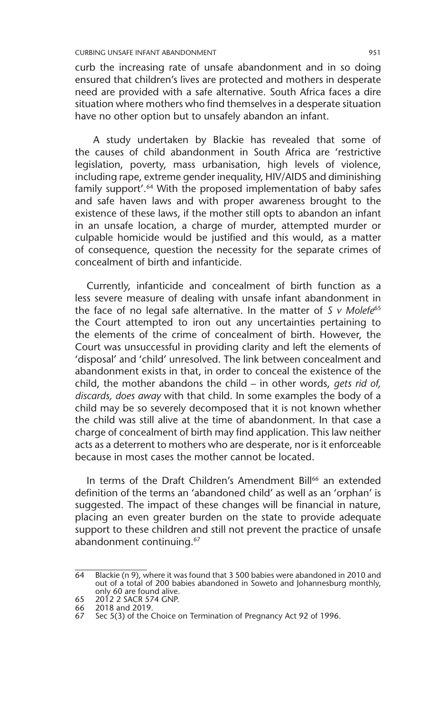curb the increasing rate of unsafe abandonment and in so doing ensured that children's lives are protected and mothers in desperate need are provided with a safe alternative. South Africa faces a dire situation where mothers who find themselves in a desperate situation have no other option but to unsafely abandon an infant.

 A study undertaken by Blackie has revealed that some of the causes of child abandonment in South Africa are 'restrictive legislation, poverty, mass urbanisation, high levels of violence, including rape, extreme gender inequality, HIV/AIDS and diminishing family support'.<sup>64</sup> With the proposed implementation of baby safes and safe haven laws and with proper awareness brought to the existence of these laws, if the mother still opts to abandon an infant in an unsafe location, a charge of murder, attempted murder or culpable homicide would be justified and this would, as a matter of consequence, question the necessity for the separate crimes of concealment of birth and infanticide.

Currently, infanticide and concealment of birth function as a less severe measure of dealing with unsafe infant abandonment in the face of no legal safe alternative. In the matter of *S v Molefe*<sup>65</sup> the Court attempted to iron out any uncertainties pertaining to the elements of the crime of concealment of birth. However, the Court was unsuccessful in providing clarity and left the elements of 'disposal' and 'child' unresolved. The link between concealment and abandonment exists in that, in order to conceal the existence of the child, the mother abandons the child – in other words, *gets rid of, discards, does away* with that child. In some examples the body of a child may be so severely decomposed that it is not known whether the child was still alive at the time of abandonment. In that case a charge of concealment of birth may find application. This law neither acts as a deterrent to mothers who are desperate, nor is it enforceable because in most cases the mother cannot be located.

In terms of the Draft Children's Amendment Bill<sup>66</sup> an extended definition of the terms an 'abandoned child' as well as an 'orphan' is suggested. The impact of these changes will be financial in nature, placing an even greater burden on the state to provide adequate support to these children and still not prevent the practice of unsafe abandonment continuing.67

<sup>64</sup> Blackie (n 9), where it was found that 3 500 babies were abandoned in 2010 and out of a total of 200 babies abandoned in Soweto and Johannesburg monthly, only 60 are found alive.

<sup>65 2012 2</sup> SACR 574 GNP.<br>66 2018 and 2019.

<sup>66</sup>  $2018$  and 2019.<br>66  $2018$  and 2019.

Sec 5(3) of the Choice on Termination of Pregnancy Act 92 of 1996.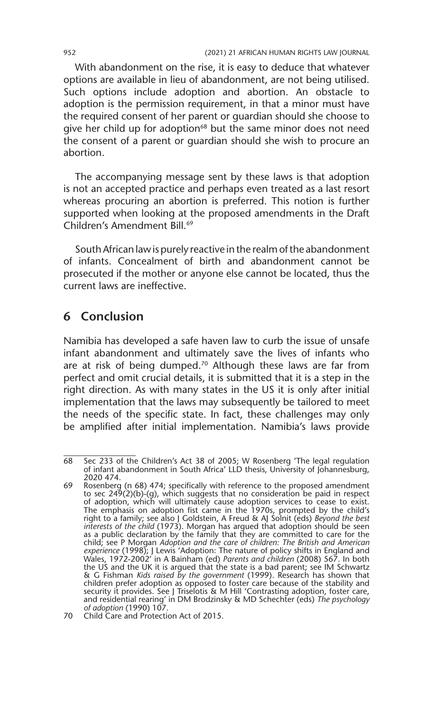With abandonment on the rise, it is easy to deduce that whatever options are available in lieu of abandonment, are not being utilised. Such options include adoption and abortion. An obstacle to adoption is the permission requirement, in that a minor must have the required consent of her parent or guardian should she choose to give her child up for adoption<sup>68</sup> but the same minor does not need the consent of a parent or guardian should she wish to procure an abortion.

The accompanying message sent by these laws is that adoption is not an accepted practice and perhaps even treated as a last resort whereas procuring an abortion is preferred. This notion is further supported when looking at the proposed amendments in the Draft Children's Amendment Bill.69

South African law is purely reactive in the realm of the abandonment of infants. Concealment of birth and abandonment cannot be prosecuted if the mother or anyone else cannot be located, thus the current laws are ineffective.

#### **6 Conclusion**

Namibia has developed a safe haven law to curb the issue of unsafe infant abandonment and ultimately save the lives of infants who are at risk of being dumped.<sup>70</sup> Although these laws are far from perfect and omit crucial details, it is submitted that it is a step in the right direction. As with many states in the US it is only after initial implementation that the laws may subsequently be tailored to meet the needs of the specific state. In fact, these challenges may only be amplified after initial implementation. Namibia's laws provide

<sup>68</sup> Sec 233 of the Children's Act 38 of 2005; W Rosenberg 'The legal regulation of infant abandonment in South Africa' LLD thesis, University of Johannesburg, 2020 474.

<sup>69</sup> Rosenberg (n 68) 474; specifically with reference to the proposed amendment to sec 249(2)(b)-(g), which suggests that no consideration be paid in respect of adoption, which will ultimately cause adoption services to cease to exist. The emphasis on adoption fist came in the 1970s, prompted by the child's right to a family; see also J Goldstein, A Freud & AJ Solnit (eds) *Beyond the best interests of the child* (1973). Morgan has argued that adoption should be seen as a public declaration by the family that they are committed to care for the child; see P Morgan *Adoption and the care of children: The British and American experience* (1998); J Lewis 'Adoption: The nature of policy shifts in England and Wales, 1972-2002' in A Bainham (ed) *Parents and children* (2008) 567. In both the US and the UK it is argued that the state is a bad parent; see IM Schwartz & G Fishman *Kids raised by the government* (1999). Research has shown that<br>children prefer adoption as opposed to foster care because of the stability and<br>security it provides. See J Triselotis & M Hill 'Contrasting adopt and residential rearing' in DM Brodzinsky & MD Schechter (eds) *The psychology of adoption* (1990) 107.

<sup>70</sup> Child Care and Protection Act of 2015.